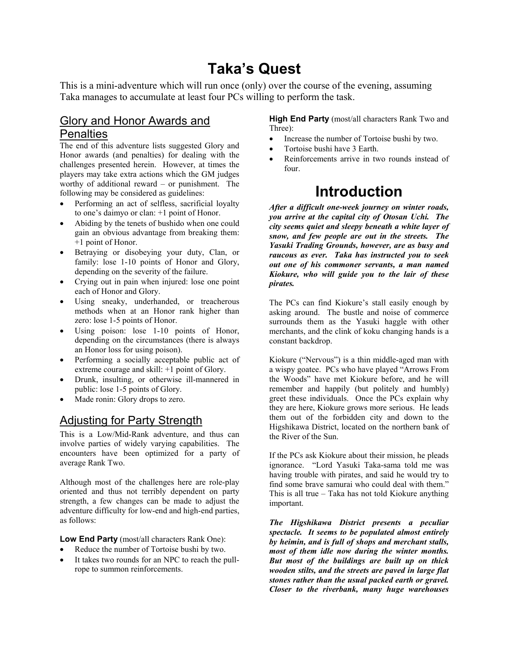# **Taka's Quest**

This is a mini-adventure which will run once (only) over the course of the evening, assuming Taka manages to accumulate at least four PCs willing to perform the task.

### Glory and Honor Awards and **Penalties**

The end of this adventure lists suggested Glory and Honor awards (and penalties) for dealing with the challenges presented herein. However, at times the players may take extra actions which the GM judges worthy of additional reward – or punishment. The following may be considered as guidelines:

- Performing an act of selfless, sacrificial loyalty to one's daimyo or clan: +1 point of Honor.
- Abiding by the tenets of bushido when one could gain an obvious advantage from breaking them: +1 point of Honor.
- Betraying or disobeying your duty, Clan, or family: lose 1-10 points of Honor and Glory, depending on the severity of the failure.
- Crying out in pain when injured: lose one point each of Honor and Glory.
- Using sneaky, underhanded, or treacherous methods when at an Honor rank higher than zero: lose 1-5 points of Honor.
- Using poison: lose 1-10 points of Honor, depending on the circumstances (there is always an Honor loss for using poison).
- Performing a socially acceptable public act of extreme courage and skill: +1 point of Glory.
- Drunk, insulting, or otherwise ill-mannered in public: lose 1-5 points of Glory.
- Made ronin: Glory drops to zero.

### Adjusting for Party Strength

This is a Low/Mid-Rank adventure, and thus can involve parties of widely varying capabilities. The encounters have been optimized for a party of average Rank Two.

Although most of the challenges here are role-play oriented and thus not terribly dependent on party strength, a few changes can be made to adjust the adventure difficulty for low-end and high-end parties, as follows:

**Low End Party** (most/all characters Rank One):

- Reduce the number of Tortoise bushi by two.
- It takes two rounds for an NPC to reach the pullrope to summon reinforcements.

**High End Party** (most/all characters Rank Two and Three):

- Increase the number of Tortoise bushi by two.
- Tortoise bushi have 3 Earth.
- Reinforcements arrive in two rounds instead of four.

# **Introduction**

*After a difficult one-week journey on winter roads, you arrive at the capital city of Otosan Uchi. The city seems quiet and sleepy beneath a white layer of snow, and few people are out in the streets. The Yasuki Trading Grounds, however, are as busy and raucous as ever. Taka has instructed you to seek out one of his commoner servants, a man named Kiokure, who will guide you to the lair of these pirates.* 

The PCs can find Kiokure's stall easily enough by asking around. The bustle and noise of commerce surrounds them as the Yasuki haggle with other merchants, and the clink of koku changing hands is a constant backdrop.

Kiokure ("Nervous") is a thin middle-aged man with a wispy goatee. PCs who have played "Arrows From the Woods" have met Kiokure before, and he will remember and happily (but politely and humbly) greet these individuals. Once the PCs explain why they are here, Kiokure grows more serious. He leads them out of the forbidden city and down to the Higshikawa District, located on the northern bank of the River of the Sun.

If the PCs ask Kiokure about their mission, he pleads ignorance. "Lord Yasuki Taka-sama told me was having trouble with pirates, and said he would try to find some brave samurai who could deal with them." This is all true – Taka has not told Kiokure anything important.

*The Higshikawa District presents a peculiar spectacle. It seems to be populated almost entirely by heimin, and is full of shops and merchant stalls, most of them idle now during the winter months. But most of the buildings are built up on thick wooden stilts, and the streets are paved in large flat stones rather than the usual packed earth or gravel. Closer to the riverbank, many huge warehouses*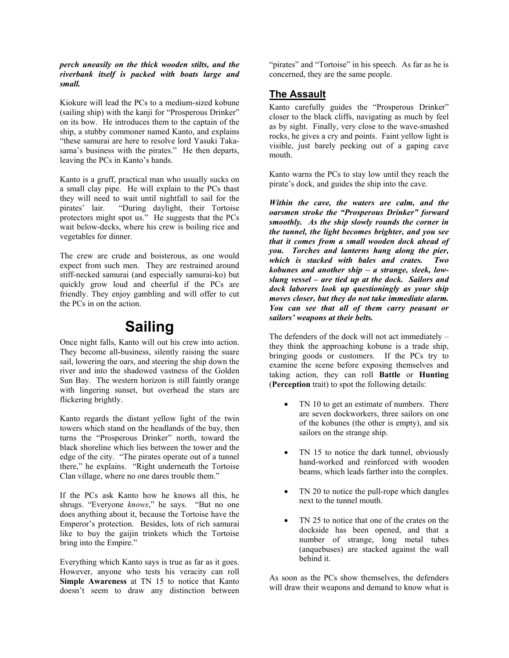*perch uneasily on the thick wooden stilts, and the riverbank itself is packed with boats large and small.* 

Kiokure will lead the PCs to a medium-sized kobune (sailing ship) with the kanji for "Prosperous Drinker" on its bow. He introduces them to the captain of the ship, a stubby commoner named Kanto, and explains "these samurai are here to resolve lord Yasuki Takasama's business with the pirates." He then departs, leaving the PCs in Kanto's hands.

Kanto is a gruff, practical man who usually sucks on a small clay pipe. He will explain to the PCs thast they will need to wait until nightfall to sail for the pirates' lair. "During daylight, their Tortoise protectors might spot us." He suggests that the PCs wait below-decks, where his crew is boiling rice and vegetables for dinner.

The crew are crude and boisterous, as one would expect from such men. They are restrained around stiff-necked samurai (and especially samurai-ko) but quickly grow loud and cheerful if the PCs are friendly. They enjoy gambling and will offer to cut the PCs in on the action.

### **Sailing**

Once night falls, Kanto will out his crew into action. They become all-business, silently raising the suare sail, lowering the oars, and steering the ship down the river and into the shadowed vastness of the Golden Sun Bay. The western horizon is still faintly orange with lingering sunset, but overhead the stars are flickering brightly.

Kanto regards the distant yellow light of the twin towers which stand on the headlands of the bay, then turns the "Prosperous Drinker" north, toward the black shoreline which lies between the tower and the edge of the city. "The pirates operate out of a tunnel there," he explains. "Right underneath the Tortoise Clan village, where no one dares trouble them."

If the PCs ask Kanto how he knows all this, he shrugs. "Everyone *knows*," he says. "But no one does anything about it, because the Tortoise have the Emperor's protection. Besides, lots of rich samurai like to buy the gaijin trinkets which the Tortoise bring into the Empire."

Everything which Kanto says is true as far as it goes. However, anyone who tests his veracity can roll **Simple Awareness** at TN 15 to notice that Kanto doesn't seem to draw any distinction between

"pirates" and "Tortoise" in his speech. As far as he is concerned, they are the same people.

#### **The Assault**

Kanto carefully guides the "Prosperous Drinker" closer to the black cliffs, navigating as much by feel as by sight. Finally, very close to the wave-smashed rocks, he gives a cry and points. Faint yellow light is visible, just barely peeking out of a gaping cave mouth.

Kanto warns the PCs to stay low until they reach the pirate's dock, and guides the ship into the cave.

*Within the cave, the waters are calm, and the oarsmen stroke the "Prosperous Drinker" forward smoothly. As the ship slowly rounds the corner in the tunnel, the light becomes brighter, and you see that it comes from a small wooden dock ahead of you. Torches and lanterns hang along the pier, which is stacked with bales and crates. Two kobunes and another ship – a strange, sleek, lowslung vessel – are tied up at the dock. Sailors and dock laborers look up questioningly as your ship moves closer, but they do not take immediate alarm. You can see that all of them carry peasant or sailors' weapons at their belts.* 

The defenders of the dock will not act immediately – they think the approaching kobune is a trade ship, bringing goods or customers. If the PCs try to examine the scene before exposing themselves and taking action, they can roll **Battle** or **Hunting** (**Perception** trait) to spot the following details:

- TN 10 to get an estimate of numbers. There are seven dockworkers, three sailors on one of the kobunes (the other is empty), and six sailors on the strange ship.
- TN 15 to notice the dark tunnel, obviously hand-worked and reinforced with wooden beams, which leads farther into the complex.
- TN 20 to notice the pull-rope which dangles next to the tunnel mouth.
- TN 25 to notice that one of the crates on the dockside has been opened, and that a number of strange, long metal tubes (anquebuses) are stacked against the wall behind it.

As soon as the PCs show themselves, the defenders will draw their weapons and demand to know what is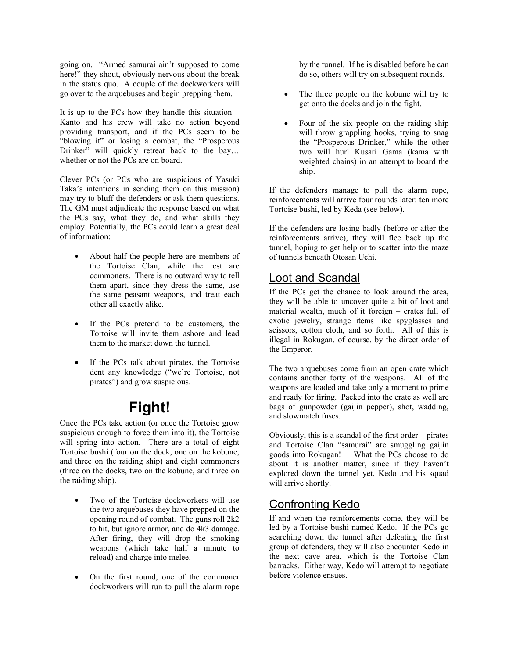going on. "Armed samurai ain't supposed to come here!" they shout, obviously nervous about the break in the status quo. A couple of the dockworkers will go over to the arquebuses and begin prepping them.

It is up to the PCs how they handle this situation – Kanto and his crew will take no action beyond providing transport, and if the PCs seem to be "blowing it" or losing a combat, the "Prosperous Drinker" will quickly retreat back to the bay... whether or not the PCs are on board.

Clever PCs (or PCs who are suspicious of Yasuki Taka's intentions in sending them on this mission) may try to bluff the defenders or ask them questions. The GM must adjudicate the response based on what the PCs say, what they do, and what skills they employ. Potentially, the PCs could learn a great deal of information:

- About half the people here are members of the Tortoise Clan, while the rest are commoners. There is no outward way to tell them apart, since they dress the same, use the same peasant weapons, and treat each other all exactly alike.
- If the PCs pretend to be customers, the Tortoise will invite them ashore and lead them to the market down the tunnel.
- If the PCs talk about pirates, the Tortoise dent any knowledge ("we're Tortoise, not pirates") and grow suspicious.

# **Fight!**

Once the PCs take action (or once the Tortoise grow suspicious enough to force them into it), the Tortoise will spring into action. There are a total of eight Tortoise bushi (four on the dock, one on the kobune, and three on the raiding ship) and eight commoners (three on the docks, two on the kobune, and three on the raiding ship).

- Two of the Tortoise dockworkers will use the two arquebuses they have prepped on the opening round of combat. The guns roll 2k2 to hit, but ignore armor, and do 4k3 damage. After firing, they will drop the smoking weapons (which take half a minute to reload) and charge into melee.
- On the first round, one of the commoner dockworkers will run to pull the alarm rope

by the tunnel. If he is disabled before he can do so, others will try on subsequent rounds.

- The three people on the kobune will try to get onto the docks and join the fight.
- Four of the six people on the raiding ship will throw grappling hooks, trying to snag the "Prosperous Drinker," while the other two will hurl Kusari Gama (kama with weighted chains) in an attempt to board the ship.

If the defenders manage to pull the alarm rope, reinforcements will arrive four rounds later: ten more Tortoise bushi, led by Keda (see below).

If the defenders are losing badly (before or after the reinforcements arrive), they will flee back up the tunnel, hoping to get help or to scatter into the maze of tunnels beneath Otosan Uchi.

#### Loot and Scandal

If the PCs get the chance to look around the area, they will be able to uncover quite a bit of loot and material wealth, much of it foreign – crates full of exotic jewelry, strange items like spyglasses and scissors, cotton cloth, and so forth. All of this is illegal in Rokugan, of course, by the direct order of the Emperor.

The two arquebuses come from an open crate which contains another forty of the weapons. All of the weapons are loaded and take only a moment to prime and ready for firing. Packed into the crate as well are bags of gunpowder (gaijin pepper), shot, wadding, and slowmatch fuses.

Obviously, this is a scandal of the first order – pirates and Tortoise Clan "samurai" are smuggling gaijin goods into Rokugan! What the PCs choose to do about it is another matter, since if they haven't explored down the tunnel yet, Kedo and his squad will arrive shortly.

### Confronting Kedo

If and when the reinforcements come, they will be led by a Tortoise bushi named Kedo. If the PCs go searching down the tunnel after defeating the first group of defenders, they will also encounter Kedo in the next cave area, which is the Tortoise Clan barracks. Either way, Kedo will attempt to negotiate before violence ensues.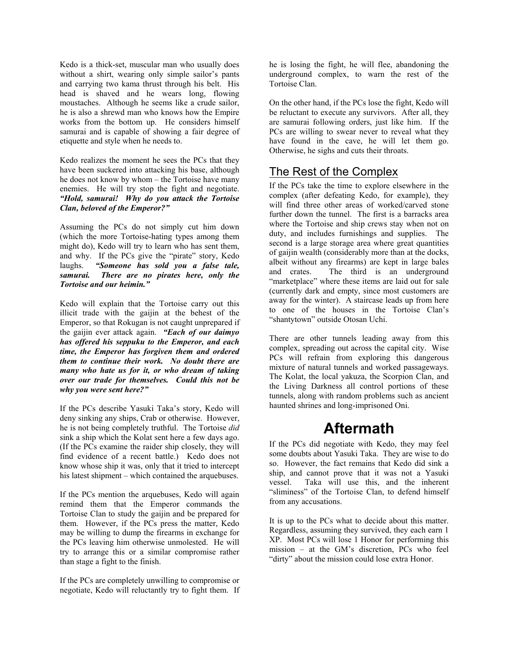Kedo is a thick-set, muscular man who usually does without a shirt, wearing only simple sailor's pants and carrying two kama thrust through his belt. His head is shaved and he wears long, flowing moustaches. Although he seems like a crude sailor, he is also a shrewd man who knows how the Empire works from the bottom up. He considers himself samurai and is capable of showing a fair degree of etiquette and style when he needs to.

Kedo realizes the moment he sees the PCs that they have been suckered into attacking his base, although he does not know by whom – the Tortoise have many enemies. He will try stop the fight and negotiate. *"Hold, samurai! Why do you attack the Tortoise Clan, beloved of the Emperor?"* 

Assuming the PCs do not simply cut him down (which the more Tortoise-hating types among them might do), Kedo will try to learn who has sent them, and why. If the PCs give the "pirate" story, Kedo laughs. *"Someone has sold you a false tale, samurai. There are no pirates here, only the Tortoise and our heimin."* 

Kedo will explain that the Tortoise carry out this illicit trade with the gaijin at the behest of the Emperor, so that Rokugan is not caught unprepared if the gaijin ever attack again. *"Each of our daimyo has offered his seppuku to the Emperor, and each time, the Emperor has forgiven them and ordered them to continue their work. No doubt there are many who hate us for it, or who dream of taking over our trade for themselves. Could this not be why you were sent here?"* 

If the PCs describe Yasuki Taka's story, Kedo will deny sinking any ships, Crab or otherwise. However, he is not being completely truthful. The Tortoise *did* sink a ship which the Kolat sent here a few days ago. (If the PCs examine the raider ship closely, they will find evidence of a recent battle.) Kedo does not know whose ship it was, only that it tried to intercept his latest shipment – which contained the arquebuses.

If the PCs mention the arquebuses, Kedo will again remind them that the Emperor commands the Tortoise Clan to study the gaijin and be prepared for them. However, if the PCs press the matter, Kedo may be willing to dump the firearms in exchange for the PCs leaving him otherwise unmolested. He will try to arrange this or a similar compromise rather than stage a fight to the finish.

If the PCs are completely unwilling to compromise or negotiate, Kedo will reluctantly try to fight them. If he is losing the fight, he will flee, abandoning the underground complex, to warn the rest of the Tortoise Clan.

On the other hand, if the PCs lose the fight, Kedo will be reluctant to execute any survivors. After all, they are samurai following orders, just like him. If the PCs are willing to swear never to reveal what they have found in the cave, he will let them go. Otherwise, he sighs and cuts their throats.

### The Rest of the Complex

If the PCs take the time to explore elsewhere in the complex (after defeating Kedo, for example), they will find three other areas of worked/carved stone further down the tunnel. The first is a barracks area where the Tortoise and ship crews stay when not on duty, and includes furnishings and supplies. The second is a large storage area where great quantities of gaijin wealth (considerably more than at the docks, albeit without any firearms) are kept in large bales and crates. The third is an underground "marketplace" where these items are laid out for sale (currently dark and empty, since most customers are away for the winter). A staircase leads up from here to one of the houses in the Tortoise Clan's "shantytown" outside Otosan Uchi.

There are other tunnels leading away from this complex, spreading out across the capital city. Wise PCs will refrain from exploring this dangerous mixture of natural tunnels and worked passageways. The Kolat, the local yakuza, the Scorpion Clan, and the Living Darkness all control portions of these tunnels, along with random problems such as ancient haunted shrines and long-imprisoned Oni.

## **Aftermath**

If the PCs did negotiate with Kedo, they may feel some doubts about Yasuki Taka. They are wise to do so. However, the fact remains that Kedo did sink a ship, and cannot prove that it was not a Yasuki vessel. Taka will use this, and the inherent "sliminess" of the Tortoise Clan, to defend himself from any accusations.

It is up to the PCs what to decide about this matter. Regardless, assuming they survived, they each earn 1 XP. Most PCs will lose 1 Honor for performing this mission – at the GM's discretion, PCs who feel "dirty" about the mission could lose extra Honor.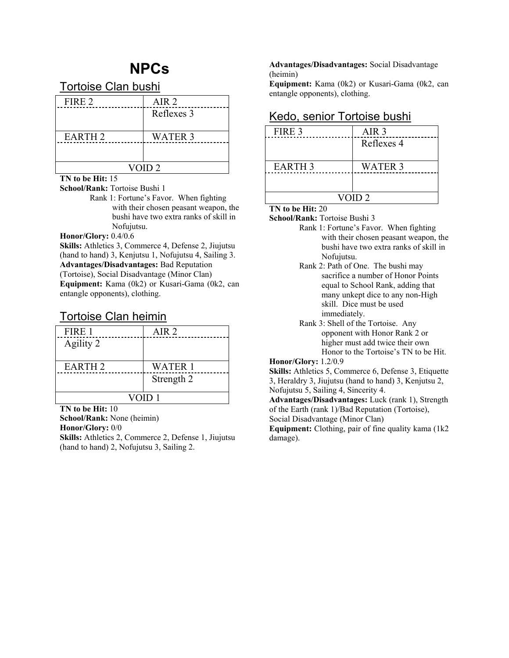# **NPCs**

Tortoise Clan bushi

| FIRE 2            | AIR <sub>2</sub> |
|-------------------|------------------|
|                   | Reflexes 3       |
|                   |                  |
| <b>EARTH 2</b>    | <b>WATER 3</b>   |
|                   |                  |
|                   |                  |
| VOID <sub>2</sub> |                  |

#### **TN to be Hit:** 15

**School/Rank:** Tortoise Bushi 1

 Rank 1: Fortune's Favor. When fighting with their chosen peasant weapon, the bushi have two extra ranks of skill in Nofujutsu.

**Honor/Glory:** 0.4/0.6

**Skills:** Athletics 3, Commerce 4, Defense 2, Jiujutsu (hand to hand) 3, Kenjutsu 1, Nofujutsu 4, Sailing 3. **Advantages/Disadvantages:** Bad Reputation

(Tortoise), Social Disadvantage (Minor Clan)

**Equipment:** Kama (0k2) or Kusari-Gama (0k2, can entangle opponents), clothing.

#### Tortoise Clan heimin

| FIRE 1             | AIR <sub>2</sub> |
|--------------------|------------------|
| Agility 2          |                  |
|                    |                  |
| EARTH <sub>2</sub> | <b>WATER 1</b>   |
|                    | Strength 2       |
|                    |                  |
| VOID <sub>1</sub>  |                  |

**TN to be Hit:** 10

**School/Rank:** None (heimin)

**Honor/Glory:** 0/0

**Skills:** Athletics 2, Commerce 2, Defense 1, Jiujutsu (hand to hand) 2, Nofujutsu 3, Sailing 2.

**Advantages/Disadvantages:** Social Disadvantage (heimin)

**Equipment:** Kama (0k2) or Kusari-Gama (0k2, can entangle opponents), clothing.

| FIRE 3            | AIR <sub>3</sub> |
|-------------------|------------------|
|                   | Reflexes 4       |
|                   |                  |
| <b>EARTH 3</b>    | <b>WATER 3</b>   |
|                   |                  |
|                   |                  |
| VOID <sub>2</sub> |                  |

### Kedo, senior Tortoise bushi

#### **TN to be Hit:** 20

**School/Rank:** Tortoise Bushi 3

- Rank 1: Fortune's Favor. When fighting with their chosen peasant weapon, the bushi have two extra ranks of skill in Nofujutsu.
- Rank 2: Path of One. The bushi may sacrifice a number of Honor Points equal to School Rank, adding that many unkept dice to any non-High skill. Dice must be used immediately.
- Rank 3: Shell of the Tortoise. Any opponent with Honor Rank 2 or higher must add twice their own Honor to the Tortoise's TN to be Hit.

#### **Honor/Glory:** 1.2/0.9

**Skills:** Athletics 5, Commerce 6, Defense 3, Etiquette 3, Heraldry 3, Jiujutsu (hand to hand) 3, Kenjutsu 2,

Nofujutsu 5, Sailing 4, Sincerity 4. **Advantages/Disadvantages:** Luck (rank 1), Strength

of the Earth (rank 1)/Bad Reputation (Tortoise),

Social Disadvantage (Minor Clan)

**Equipment:** Clothing, pair of fine quality kama (1k2 damage).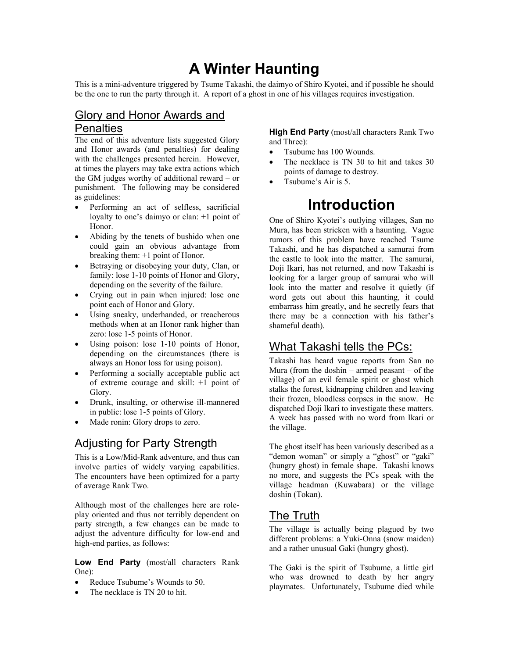# **A Winter Haunting**

This is a mini-adventure triggered by Tsume Takashi, the daimyo of Shiro Kyotei, and if possible he should be the one to run the party through it. A report of a ghost in one of his villages requires investigation.

### Glory and Honor Awards and **Penalties**

The end of this adventure lists suggested Glory and Honor awards (and penalties) for dealing with the challenges presented herein. However, at times the players may take extra actions which the GM judges worthy of additional reward – or punishment. The following may be considered as guidelines:

- Performing an act of selfless, sacrificial loyalty to one's daimyo or clan: +1 point of Honor.
- Abiding by the tenets of bushido when one could gain an obvious advantage from breaking them: +1 point of Honor.
- Betraying or disobeying your duty, Clan, or family: lose 1-10 points of Honor and Glory, depending on the severity of the failure.
- Crying out in pain when injured: lose one point each of Honor and Glory.
- Using sneaky, underhanded, or treacherous methods when at an Honor rank higher than zero: lose 1-5 points of Honor.
- Using poison: lose 1-10 points of Honor, depending on the circumstances (there is always an Honor loss for using poison).
- Performing a socially acceptable public act of extreme courage and skill: +1 point of Glory.
- Drunk, insulting, or otherwise ill-mannered in public: lose 1-5 points of Glory.
- Made ronin: Glory drops to zero.

### Adjusting for Party Strength

This is a Low/Mid-Rank adventure, and thus can involve parties of widely varying capabilities. The encounters have been optimized for a party of average Rank Two.

Although most of the challenges here are roleplay oriented and thus not terribly dependent on party strength, a few changes can be made to adjust the adventure difficulty for low-end and high-end parties, as follows:

**Low End Party** (most/all characters Rank One):

- Reduce Tsubume's Wounds to 50.
- The necklace is TN 20 to hit.

**High End Party** (most/all characters Rank Two and Three):

- Tsubume has 100 Wounds.
- The necklace is TN 30 to hit and takes 30 points of damage to destroy.
- Tsubume's Air is 5.

# **Introduction**

One of Shiro Kyotei's outlying villages, San no Mura, has been stricken with a haunting. Vague rumors of this problem have reached Tsume Takashi, and he has dispatched a samurai from the castle to look into the matter. The samurai, Doji Ikari, has not returned, and now Takashi is looking for a larger group of samurai who will look into the matter and resolve it quietly (if word gets out about this haunting, it could embarrass him greatly, and he secretly fears that there may be a connection with his father's shameful death).

### What Takashi tells the PCs:

Takashi has heard vague reports from San no Mura (from the doshin – armed peasant – of the village) of an evil female spirit or ghost which stalks the forest, kidnapping children and leaving their frozen, bloodless corpses in the snow. He dispatched Doji Ikari to investigate these matters. A week has passed with no word from Ikari or the village.

The ghost itself has been variously described as a "demon woman" or simply a "ghost" or "gaki" (hungry ghost) in female shape. Takashi knows no more, and suggests the PCs speak with the village headman (Kuwabara) or the village doshin (Tokan).

### The Truth

The village is actually being plagued by two different problems: a Yuki-Onna (snow maiden) and a rather unusual Gaki (hungry ghost).

The Gaki is the spirit of Tsubume, a little girl who was drowned to death by her angry playmates. Unfortunately, Tsubume died while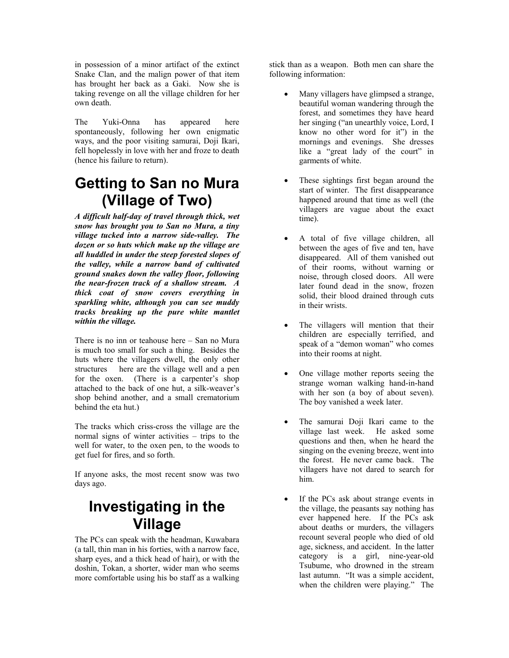in possession of a minor artifact of the extinct Snake Clan, and the malign power of that item has brought her back as a Gaki. Now she is taking revenge on all the village children for her own death.

The Yuki-Onna has appeared here spontaneously, following her own enigmatic ways, and the poor visiting samurai, Doji Ikari, fell hopelessly in love with her and froze to death (hence his failure to return).

# **Getting to San no Mura (Village of Two)**

*A difficult half-day of travel through thick, wet snow has brought you to San no Mura, a tiny village tucked into a narrow side-valley. The dozen or so huts which make up the village are all huddled in under the steep forested slopes of the valley, while a narrow band of cultivated ground snakes down the valley floor, following the near-frozen track of a shallow stream. A thick coat of snow covers everything in sparkling white, although you can see muddy tracks breaking up the pure white mantlet within the village.* 

There is no inn or teahouse here – San no Mura is much too small for such a thing. Besides the huts where the villagers dwell, the only other structures here are the village well and a pen for the oxen. (There is a carpenter's shop attached to the back of one hut, a silk-weaver's shop behind another, and a small crematorium behind the eta hut.)

The tracks which criss-cross the village are the normal signs of winter activities – trips to the well for water, to the oxen pen, to the woods to get fuel for fires, and so forth.

If anyone asks, the most recent snow was two days ago.

# **Investigating in the Village**

The PCs can speak with the headman, Kuwabara (a tall, thin man in his forties, with a narrow face, sharp eyes, and a thick head of hair), or with the doshin, Tokan, a shorter, wider man who seems more comfortable using his bo staff as a walking

stick than as a weapon. Both men can share the following information:

- Many villagers have glimpsed a strange, beautiful woman wandering through the forest, and sometimes they have heard her singing ("an unearthly voice, Lord, I know no other word for it") in the mornings and evenings. She dresses like a "great lady of the court" in garments of white.
- These sightings first began around the start of winter. The first disappearance happened around that time as well (the villagers are vague about the exact time).
- A total of five village children, all between the ages of five and ten, have disappeared. All of them vanished out of their rooms, without warning or noise, through closed doors. All were later found dead in the snow, frozen solid, their blood drained through cuts in their wrists.
- The villagers will mention that their children are especially terrified, and speak of a "demon woman" who comes into their rooms at night.
- One village mother reports seeing the strange woman walking hand-in-hand with her son (a boy of about seven). The boy vanished a week later.
- The samurai Doji Ikari came to the village last week. He asked some questions and then, when he heard the singing on the evening breeze, went into the forest. He never came back. The villagers have not dared to search for him.
- If the PCs ask about strange events in the village, the peasants say nothing has ever happened here. If the PCs ask about deaths or murders, the villagers recount several people who died of old age, sickness, and accident. In the latter category is a girl, nine-year-old Tsubume, who drowned in the stream last autumn. "It was a simple accident, when the children were playing." The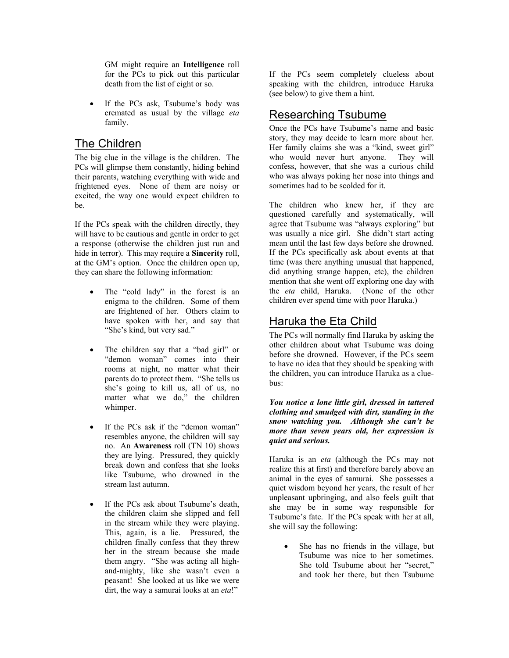GM might require an **Intelligence** roll for the PCs to pick out this particular death from the list of eight or so.

If the PCs ask, Tsubume's body was cremated as usual by the village *eta* family.

### The Children

The big clue in the village is the children. The PCs will glimpse them constantly, hiding behind their parents, watching everything with wide and frightened eyes. None of them are noisy or excited, the way one would expect children to be.

If the PCs speak with the children directly, they will have to be cautious and gentle in order to get a response (otherwise the children just run and hide in terror). This may require a **Sincerity** roll, at the GM's option. Once the children open up, they can share the following information:

- The "cold lady" in the forest is an enigma to the children. Some of them are frightened of her. Others claim to have spoken with her, and say that "She's kind, but very sad."
- The children say that a "bad girl" or "demon woman" comes into their rooms at night, no matter what their parents do to protect them. "She tells us she's going to kill us, all of us, no matter what we do," the children whimper.
- If the PCs ask if the "demon woman" resembles anyone, the children will say no. An **Awareness** roll (TN 10) shows they are lying. Pressured, they quickly break down and confess that she looks like Tsubume, who drowned in the stream last autumn.
- If the PCs ask about Tsubume's death, the children claim she slipped and fell in the stream while they were playing. This, again, is a lie. Pressured, the children finally confess that they threw her in the stream because she made them angry. "She was acting all highand-mighty, like she wasn't even a peasant! She looked at us like we were dirt, the way a samurai looks at an *eta*!"

If the PCs seem completely clueless about speaking with the children, introduce Haruka (see below) to give them a hint.

#### Researching Tsubume

Once the PCs have Tsubume's name and basic story, they may decide to learn more about her. Her family claims she was a "kind, sweet girl" who would never hurt anyone. They will confess, however, that she was a curious child who was always poking her nose into things and sometimes had to be scolded for it.

The children who knew her, if they are questioned carefully and systematically, will agree that Tsubume was "always exploring" but was usually a nice girl. She didn't start acting mean until the last few days before she drowned. If the PCs specifically ask about events at that time (was there anything unusual that happened, did anything strange happen, etc), the children mention that she went off exploring one day with the *eta* child, Haruka. (None of the other children ever spend time with poor Haruka.)

### Haruka the Eta Child

The PCs will normally find Haruka by asking the other children about what Tsubume was doing before she drowned. However, if the PCs seem to have no idea that they should be speaking with the children, you can introduce Haruka as a cluebus:

*You notice a lone little girl, dressed in tattered clothing and smudged with dirt, standing in the snow watching you. Although she can't be more than seven years old, her expression is quiet and serious.* 

Haruka is an *eta* (although the PCs may not realize this at first) and therefore barely above an animal in the eyes of samurai. She possesses a quiet wisdom beyond her years, the result of her unpleasant upbringing, and also feels guilt that she may be in some way responsible for Tsubume's fate. If the PCs speak with her at all, she will say the following:

> She has no friends in the village, but Tsubume was nice to her sometimes. She told Tsubume about her "secret," and took her there, but then Tsubume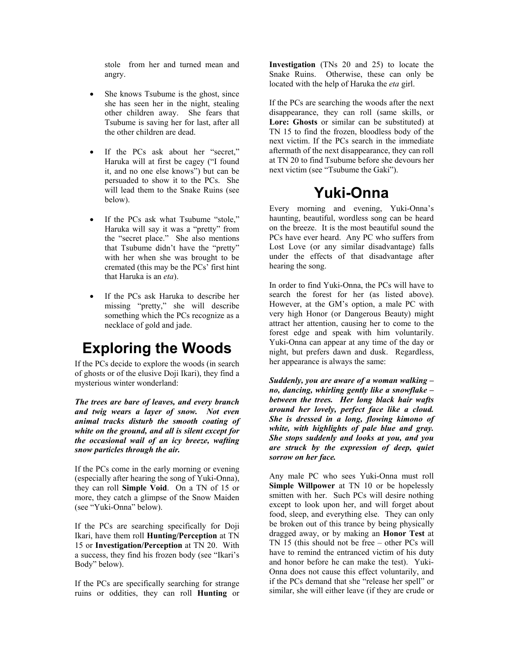stole from her and turned mean and angry.

- She knows Tsubume is the ghost, since she has seen her in the night, stealing other children away. She fears that Tsubume is saving her for last, after all the other children are dead.
- If the PCs ask about her "secret," Haruka will at first be cagey ("I found it, and no one else knows") but can be persuaded to show it to the PCs. She will lead them to the Snake Ruins (see below).
- If the PCs ask what Tsubume "stole," Haruka will say it was a "pretty" from the "secret place." She also mentions that Tsubume didn't have the "pretty" with her when she was brought to be cremated (this may be the PCs' first hint that Haruka is an *eta*).
- If the PCs ask Haruka to describe her missing "pretty," she will describe something which the PCs recognize as a necklace of gold and jade.

# **Exploring the Woods**

If the PCs decide to explore the woods (in search of ghosts or of the elusive Doji Ikari), they find a mysterious winter wonderland:

*The trees are bare of leaves, and every branch and twig wears a layer of snow. Not even animal tracks disturb the smooth coating of white on the ground, and all is silent except for the occasional wail of an icy breeze, wafting snow particles through the air.* 

If the PCs come in the early morning or evening (especially after hearing the song of Yuki-Onna), they can roll **Simple Void**. On a TN of 15 or more, they catch a glimpse of the Snow Maiden (see "Yuki-Onna" below).

If the PCs are searching specifically for Doji Ikari, have them roll **Hunting/Perception** at TN 15 or **Investigation/Perception** at TN 20. With a success, they find his frozen body (see "Ikari's Body" below).

If the PCs are specifically searching for strange ruins or oddities, they can roll **Hunting** or **Investigation** (TNs 20 and 25) to locate the Snake Ruins. Otherwise, these can only be located with the help of Haruka the *eta* girl.

If the PCs are searching the woods after the next disappearance, they can roll (same skills, or **Lore: Ghosts** or similar can be substituted) at TN 15 to find the frozen, bloodless body of the next victim. If the PCs search in the immediate aftermath of the next disappearance, they can roll at TN 20 to find Tsubume before she devours her next victim (see "Tsubume the Gaki").

## **Yuki-Onna**

Every morning and evening, Yuki-Onna's haunting, beautiful, wordless song can be heard on the breeze. It is the most beautiful sound the PCs have ever heard. Any PC who suffers from Lost Love (or any similar disadvantage) falls under the effects of that disadvantage after hearing the song.

In order to find Yuki-Onna, the PCs will have to search the forest for her (as listed above). However, at the GM's option, a male PC with very high Honor (or Dangerous Beauty) might attract her attention, causing her to come to the forest edge and speak with him voluntarily. Yuki-Onna can appear at any time of the day or night, but prefers dawn and dusk. Regardless, her appearance is always the same:

*Suddenly, you are aware of a woman walking – no, dancing, whirling gently like a snowflake – between the trees. Her long black hair wafts around her lovely, perfect face like a cloud. She is dressed in a long, flowing kimono of white, with highlights of pale blue and gray. She stops suddenly and looks at you, and you are struck by the expression of deep, quiet sorrow on her face.* 

Any male PC who sees Yuki-Onna must roll **Simple Willpower** at TN 10 or be hopelessly smitten with her. Such PCs will desire nothing except to look upon her, and will forget about food, sleep, and everything else. They can only be broken out of this trance by being physically dragged away, or by making an **Honor Test** at TN 15 (this should not be free – other PCs will have to remind the entranced victim of his duty and honor before he can make the test). Yuki-Onna does not cause this effect voluntarily, and if the PCs demand that she "release her spell" or similar, she will either leave (if they are crude or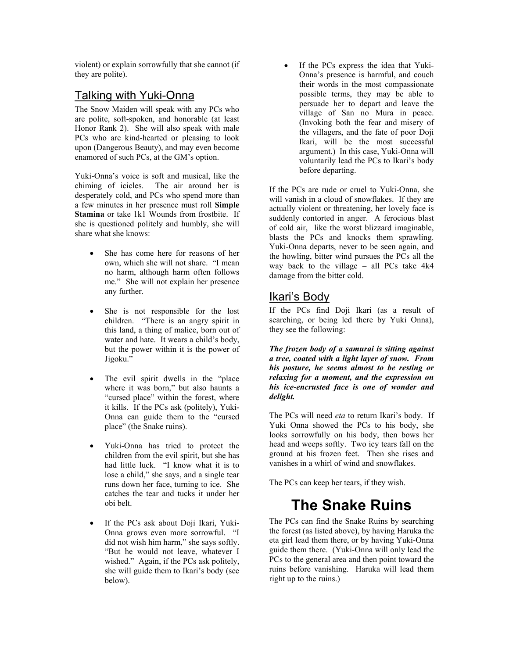violent) or explain sorrowfully that she cannot (if they are polite).

### Talking with Yuki-Onna

The Snow Maiden will speak with any PCs who are polite, soft-spoken, and honorable (at least Honor Rank 2). She will also speak with male PCs who are kind-hearted or pleasing to look upon (Dangerous Beauty), and may even become enamored of such PCs, at the GM's option.

Yuki-Onna's voice is soft and musical, like the chiming of icicles. The air around her is desperately cold, and PCs who spend more than a few minutes in her presence must roll **Simple Stamina** or take 1k1 Wounds from frostbite. If she is questioned politely and humbly, she will share what she knows:

- She has come here for reasons of her own, which she will not share. "I mean no harm, although harm often follows me." She will not explain her presence any further.
- She is not responsible for the lost children. "There is an angry spirit in this land, a thing of malice, born out of water and hate. It wears a child's body, but the power within it is the power of Jigoku."
- The evil spirit dwells in the "place" where it was born," but also haunts a "cursed place" within the forest, where it kills. If the PCs ask (politely), Yuki-Onna can guide them to the "cursed place" (the Snake ruins).
- Yuki-Onna has tried to protect the children from the evil spirit, but she has had little luck. "I know what it is to lose a child," she says, and a single tear runs down her face, turning to ice. She catches the tear and tucks it under her obi belt.
- If the PCs ask about Doji Ikari, Yuki-Onna grows even more sorrowful. "I did not wish him harm," she says softly. "But he would not leave, whatever I wished." Again, if the PCs ask politely, she will guide them to Ikari's body (see below).

If the PCs express the idea that Yuki-Onna's presence is harmful, and couch their words in the most compassionate possible terms, they may be able to persuade her to depart and leave the village of San no Mura in peace. (Invoking both the fear and misery of the villagers, and the fate of poor Doji Ikari, will be the most successful argument.) In this case, Yuki-Onna will voluntarily lead the PCs to Ikari's body before departing.

If the PCs are rude or cruel to Yuki-Onna, she will vanish in a cloud of snowflakes. If they are actually violent or threatening, her lovely face is suddenly contorted in anger. A ferocious blast of cold air, like the worst blizzard imaginable, blasts the PCs and knocks them sprawling. Yuki-Onna departs, never to be seen again, and the howling, bitter wind pursues the PCs all the way back to the village – all PCs take 4k4 damage from the bitter cold.

### Ikari's Body

If the PCs find Doji Ikari (as a result of searching, or being led there by Yuki Onna), they see the following:

*The frozen body of a samurai is sitting against a tree, coated with a light layer of snow. From his posture, he seems almost to be resting or relaxing for a moment, and the expression on his ice-encrusted face is one of wonder and delight.* 

The PCs will need *eta* to return Ikari's body. If Yuki Onna showed the PCs to his body, she looks sorrowfully on his body, then bows her head and weeps softly. Two icy tears fall on the ground at his frozen feet. Then she rises and vanishes in a whirl of wind and snowflakes.

The PCs can keep her tears, if they wish.

# **The Snake Ruins**

The PCs can find the Snake Ruins by searching the forest (as listed above), by having Haruka the eta girl lead them there, or by having Yuki-Onna guide them there. (Yuki-Onna will only lead the PCs to the general area and then point toward the ruins before vanishing. Haruka will lead them right up to the ruins.)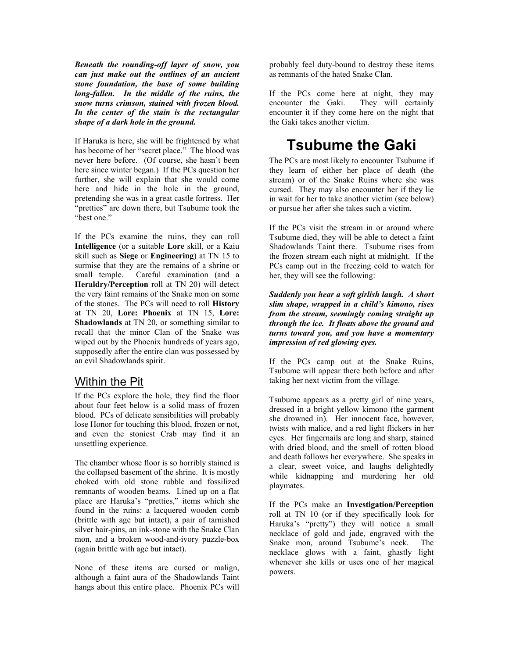*Beneath the rounding-off layer of snow, you can just make out the outlines of an ancient stone foundation, the base of some building long-fallen. In the middle of the ruins, the snow turns crimson, stained with frozen blood. In the center of the stain is the rectangular shape of a dark hole in the ground.* 

If Haruka is here, she will be frightened by what has become of her "secret place." The blood was never here before. (Of course, she hasn't been here since winter began.) If the PCs question her further, she will explain that she would come here and hide in the hole in the ground, pretending she was in a great castle fortress. Her "pretties" are down there, but Tsubume took the "best one."

If the PCs examine the ruins, they can roll **Intelligence** (or a suitable **Lore** skill, or a Kaiu skill such as **Siege** or **Engineering**) at TN 15 to surmise that they are the remains of a shrine or small temple. Careful examination (and a **Heraldry/Perception** roll at TN 20) will detect the very faint remains of the Snake mon on some of the stones. The PCs will need to roll **History** at TN 20, **Lore: Phoenix** at TN 15, **Lore: Shadowlands** at TN 20, or something similar to recall that the minor Clan of the Snake was wiped out by the Phoenix hundreds of years ago, supposedly after the entire clan was possessed by an evil Shadowlands spirit.

#### Within the Pit

If the PCs explore the hole, they find the floor about four feet below is a solid mass of frozen blood. PCs of delicate sensibilities will probably lose Honor for touching this blood, frozen or not, and even the stoniest Crab may find it an unsettling experience.

The chamber whose floor is so horribly stained is the collapsed basement of the shrine. It is mostly choked with old stone rubble and fossilized remnants of wooden beams. Lined up on a flat place are Haruka's "pretties," items which she found in the ruins: a lacquered wooden comb (brittle with age but intact), a pair of tarnished silver hair-pins, an ink-stone with the Snake Clan mon, and a broken wood-and-ivory puzzle-box (again brittle with age but intact).

None of these items are cursed or malign, although a faint aura of the Shadowlands Taint hangs about this entire place. Phoenix PCs will

probably feel duty-bound to destroy these items as remnants of the hated Snake Clan.

If the PCs come here at night, they may encounter the Gaki. They will certainly encounter it if they come here on the night that the Gaki takes another victim.

## **Tsubume the Gaki**

The PCs are most likely to encounter Tsubume if they learn of either her place of death (the stream) or of the Snake Ruins where she was cursed. They may also encounter her if they lie in wait for her to take another victim (see below) or pursue her after she takes such a victim.

If the PCs visit the stream in or around where Tsubume died, they will be able to detect a faint Shadowlands Taint there. Tsubume rises from the frozen stream each night at midnight. If the PCs camp out in the freezing cold to watch for her, they will see the following:

*Suddenly you hear a soft girlish laugh. A short slim shape, wrapped in a child's kimono, rises from the stream, seemingly coming straight up through the ice. It floats above the ground and turns toward you, and you have a momentary impression of red glowing eyes.* 

If the PCs camp out at the Snake Ruins, Tsubume will appear there both before and after taking her next victim from the village.

Tsubume appears as a pretty girl of nine years, dressed in a bright yellow kimono (the garment she drowned in). Her innocent face, however, twists with malice, and a red light flickers in her eyes. Her fingernails are long and sharp, stained with dried blood, and the smell of rotten blood and death follows her everywhere. She speaks in a clear, sweet voice, and laughs delightedly while kidnapping and murdering her old playmates.

If the PCs make an **Investigation/Perception** roll at TN 10 (or if they specifically look for Haruka's "pretty") they will notice a small necklace of gold and jade, engraved with the Snake mon, around Tsubume's neck. The necklace glows with a faint, ghastly light whenever she kills or uses one of her magical powers.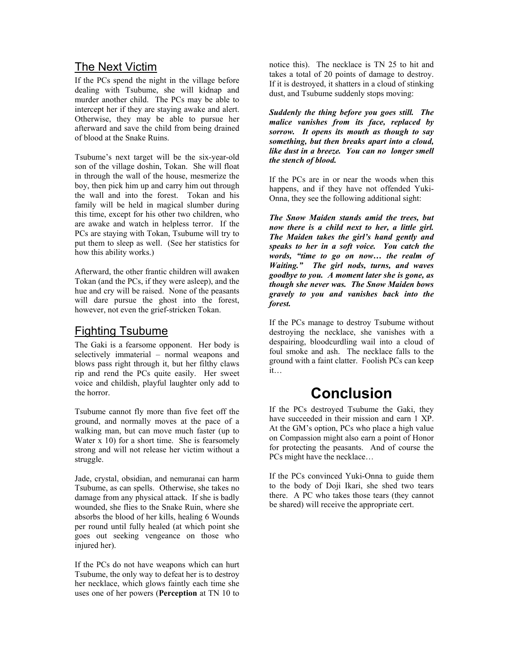#### The Next Victim

If the PCs spend the night in the village before dealing with Tsubume, she will kidnap and murder another child. The PCs may be able to intercept her if they are staying awake and alert. Otherwise, they may be able to pursue her afterward and save the child from being drained of blood at the Snake Ruins.

Tsubume's next target will be the six-year-old son of the village doshin, Tokan. She will float in through the wall of the house, mesmerize the boy, then pick him up and carry him out through the wall and into the forest. Tokan and his family will be held in magical slumber during this time, except for his other two children, who are awake and watch in helpless terror. If the PCs are staying with Tokan, Tsubume will try to put them to sleep as well. (See her statistics for how this ability works.)

Afterward, the other frantic children will awaken Tokan (and the PCs, if they were asleep), and the hue and cry will be raised. None of the peasants will dare pursue the ghost into the forest, however, not even the grief-stricken Tokan.

### Fighting Tsubume

The Gaki is a fearsome opponent. Her body is selectively immaterial – normal weapons and blows pass right through it, but her filthy claws rip and rend the PCs quite easily. Her sweet voice and childish, playful laughter only add to the horror.

Tsubume cannot fly more than five feet off the ground, and normally moves at the pace of a walking man, but can move much faster (up to Water x 10) for a short time. She is fearsomely strong and will not release her victim without a struggle.

Jade, crystal, obsidian, and nemuranai can harm Tsubume, as can spells. Otherwise, she takes no damage from any physical attack. If she is badly wounded, she flies to the Snake Ruin, where she absorbs the blood of her kills, healing 6 Wounds per round until fully healed (at which point she goes out seeking vengeance on those who injured her).

If the PCs do not have weapons which can hurt Tsubume, the only way to defeat her is to destroy her necklace, which glows faintly each time she uses one of her powers (**Perception** at TN 10 to

notice this). The necklace is TN 25 to hit and takes a total of 20 points of damage to destroy. If it is destroyed, it shatters in a cloud of stinking dust, and Tsubume suddenly stops moving:

*Suddenly the thing before you goes still. The malice vanishes from its face, replaced by sorrow. It opens its mouth as though to say something, but then breaks apart into a cloud, like dust in a breeze. You can no longer smell the stench of blood.* 

If the PCs are in or near the woods when this happens, and if they have not offended Yuki-Onna, they see the following additional sight:

*The Snow Maiden stands amid the trees, but now there is a child next to her, a little girl. The Maiden takes the girl's hand gently and speaks to her in a soft voice. You catch the words, "time to go on now… the realm of Waiting." The girl nods, turns, and waves goodbye to you. A moment later she is gone, as though she never was. The Snow Maiden bows gravely to you and vanishes back into the forest.* 

If the PCs manage to destroy Tsubume without destroying the necklace, she vanishes with a despairing, bloodcurdling wail into a cloud of foul smoke and ash. The necklace falls to the ground with a faint clatter. Foolish PCs can keep it…

## **Conclusion**

If the PCs destroyed Tsubume the Gaki, they have succeeded in their mission and earn 1 XP. At the GM's option, PCs who place a high value on Compassion might also earn a point of Honor for protecting the peasants. And of course the PCs might have the necklace…

If the PCs convinced Yuki-Onna to guide them to the body of Doji Ikari, she shed two tears there. A PC who takes those tears (they cannot be shared) will receive the appropriate cert.